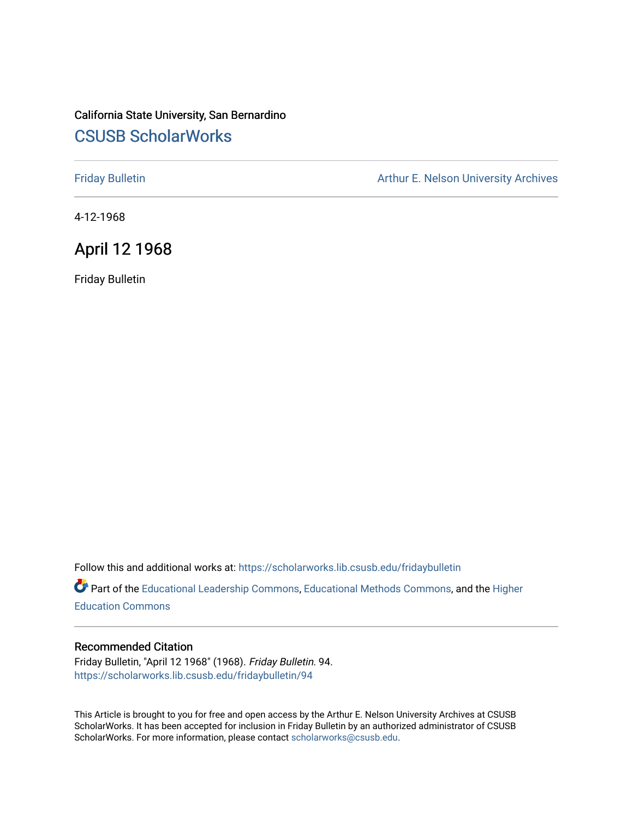## California State University, San Bernardino [CSUSB ScholarWorks](https://scholarworks.lib.csusb.edu/)

[Friday Bulletin](https://scholarworks.lib.csusb.edu/fridaybulletin) **Arthur E. Nelson University Archives** Arthur E. Nelson University Archives

4-12-1968

### April 12 1968

Friday Bulletin

Follow this and additional works at: [https://scholarworks.lib.csusb.edu/fridaybulletin](https://scholarworks.lib.csusb.edu/fridaybulletin?utm_source=scholarworks.lib.csusb.edu%2Ffridaybulletin%2F94&utm_medium=PDF&utm_campaign=PDFCoverPages)

Part of the [Educational Leadership Commons,](http://network.bepress.com/hgg/discipline/1230?utm_source=scholarworks.lib.csusb.edu%2Ffridaybulletin%2F94&utm_medium=PDF&utm_campaign=PDFCoverPages) [Educational Methods Commons,](http://network.bepress.com/hgg/discipline/1227?utm_source=scholarworks.lib.csusb.edu%2Ffridaybulletin%2F94&utm_medium=PDF&utm_campaign=PDFCoverPages) and the [Higher](http://network.bepress.com/hgg/discipline/1245?utm_source=scholarworks.lib.csusb.edu%2Ffridaybulletin%2F94&utm_medium=PDF&utm_campaign=PDFCoverPages) [Education Commons](http://network.bepress.com/hgg/discipline/1245?utm_source=scholarworks.lib.csusb.edu%2Ffridaybulletin%2F94&utm_medium=PDF&utm_campaign=PDFCoverPages) 

### Recommended Citation

Friday Bulletin, "April 12 1968" (1968). Friday Bulletin. 94. [https://scholarworks.lib.csusb.edu/fridaybulletin/94](https://scholarworks.lib.csusb.edu/fridaybulletin/94?utm_source=scholarworks.lib.csusb.edu%2Ffridaybulletin%2F94&utm_medium=PDF&utm_campaign=PDFCoverPages) 

This Article is brought to you for free and open access by the Arthur E. Nelson University Archives at CSUSB ScholarWorks. It has been accepted for inclusion in Friday Bulletin by an authorized administrator of CSUSB ScholarWorks. For more information, please contact [scholarworks@csusb.edu.](mailto:scholarworks@csusb.edu)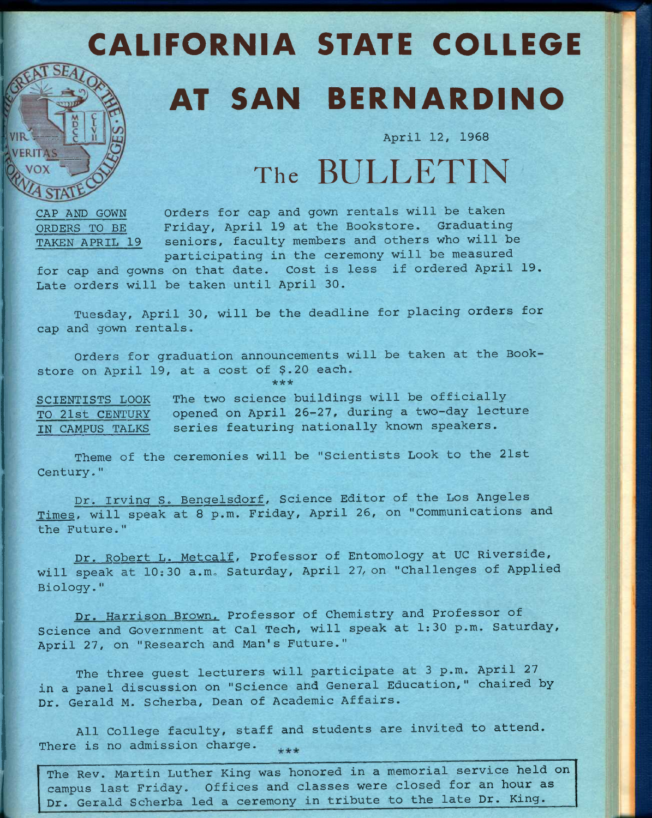# CALIFORNIA STATE COLLEGE

## AT SAN BERNARDINO

**April 12, 1968** 

# The **BULLETIN**

**CAP AND GOWN Orders for cap and gown rentals will be taken ORDERS TO BE Friday, April 19 at the Bookstore. Graduating TAKEN APRIL 19 seniors, faculty members and others who will be participating in the ceremony will be measured** 

**for cap and gowns on that date. Cost is less if ordered April 19. Late orders will be taken until April 30.** 

**Tuesday, April 30, will be the deadline for placing orders for cap and gown rentals.** 

**Orders for graduation announcements will be taken at the Bookstore on April 19, at a cost of \$.20 each.** 

**\*\*\*** 

**SCIENTISTS LOOK The two science buildings will be officially TO 21st CENTURY opened on April 26-27, during a two-day lecture IN CAMPUS TALKS series featuring nationally known speakers.** 

**Theme of the ceremonies will be "Scientists Look to the 21st Century-"** 

**Dr. Irving S. Bengelsdorf, Science Editor of the Los Angeles Times, will speak at 8 p.m. Friday, April 26, on "Communications and the Future."** 

**Dr. Robert L. Metcalf. Professor of Entomology at UC Riverside, will speak at 10:30 a.m. Saturday, April 27, on "Challenges of Applied Biology."** 

**Dr. Harrison Brown. Professor of Chemistry and Professor of Science and Government at Cal Tech, will speak at 1:30 p.m. Saturday, April 27, on "Research and Man's Future."** 

**The three guest lecturers will participate at 3 p.m. April 27 in a panel discussion on "Science and General Education," chaired by Dr. Gerald M. Scherba, Dean of Academic Affairs.** 

**All College faculty, staff and students are invited to attend. There is no admission charge.**   $***$ 

**The Rev. Martin Luther King was honored in a memorial service held on campus last Friday. Offices and classes were closed for an hour as Dr. Gerald Scherba led a ceremony in tribute to the late Dr. King.**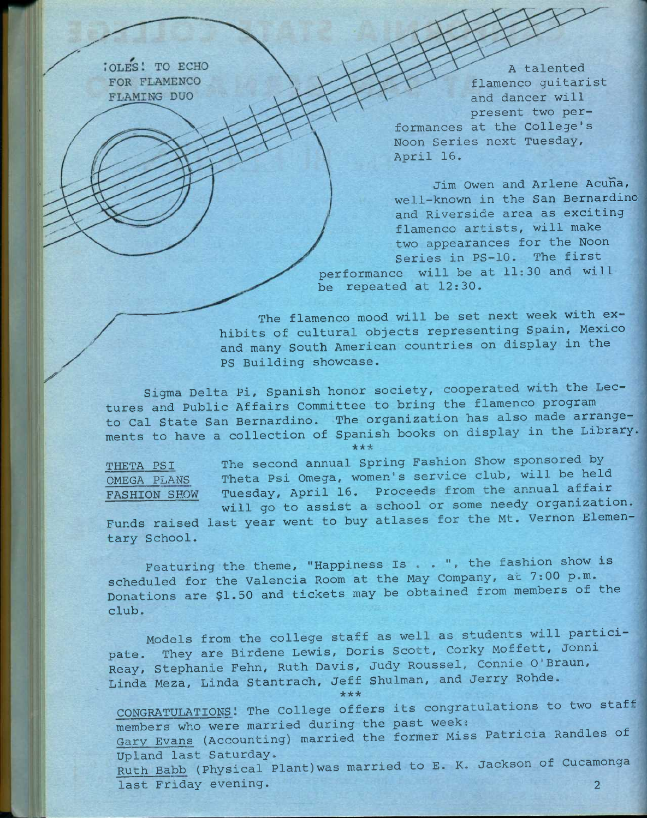**CLES! TO ECHO** FOR FLAMENCO FLAMING DUO

**A talented flamenco guitarist and dancer will present two performances at the College's Noon Series next Tuesday, April 16,** 

**Jim Owen and Arlene Acuna, well-known in the San Bernardino and Riverside area as exciting flamenco artists, will make two appearances for the Noon Series in PS-10. The first performance will be at 11:30 and will be repeated at 12:30.** 

**The flamenco mood will be set next week with exhibits of cultural objects representing Spain, Mexico and many South American countries on display in the PS Building showcase.** 

**Sigma Delta Pi, Spanish honor society, cooperated with the Lectures and Public Affairs Committee to bring the flamenco program to Cal State San Bernardino. The organization has also made arrangements to have a collection of Spanish books on display in the Library. \*\* \*** 

**THETA PSI OMEGA PLANS FASHION SHOW**  **The second annual Spring Fashion Show sponsored by Theta Psi Omega, women's service club, will be held Tuesday, April 16. Proceeds from the annual affair will go to assist a school or some needy organization.** 

**Funds raised last year went to buy atlases for the Mt. Vernon Elementary School.** 

**Featuring the theme, "Happiness Is . . ", the fashion show is scheduled for the Valencia Room at the May Company, at 7:00 p.m. Donations are \$1.50 and tickets may be obtained from members of the club.** 

**Models from the college staff as well as students will participate. They are Birdene Lewis, Doris Scott, Corky Moffett, Jonni Reay, Stephanie Fehn, Ruth Davis, Judy Roussel, Connie O'Braun, Linda Meza, Linda Stantrach, Jeff Shulman, and Jerry Rohde. \*\*\*** 

CONGRATULATIONS! The College offers its congratulations to two staff members who were married during the past week: **Gary Evans (Accounting) married the former Miss Patricia Randies of Upland last Saturday.**  Ruth Babb (Physical Plant) was married to E. K. Jackson of Cucamonga **last Friday evening.** 2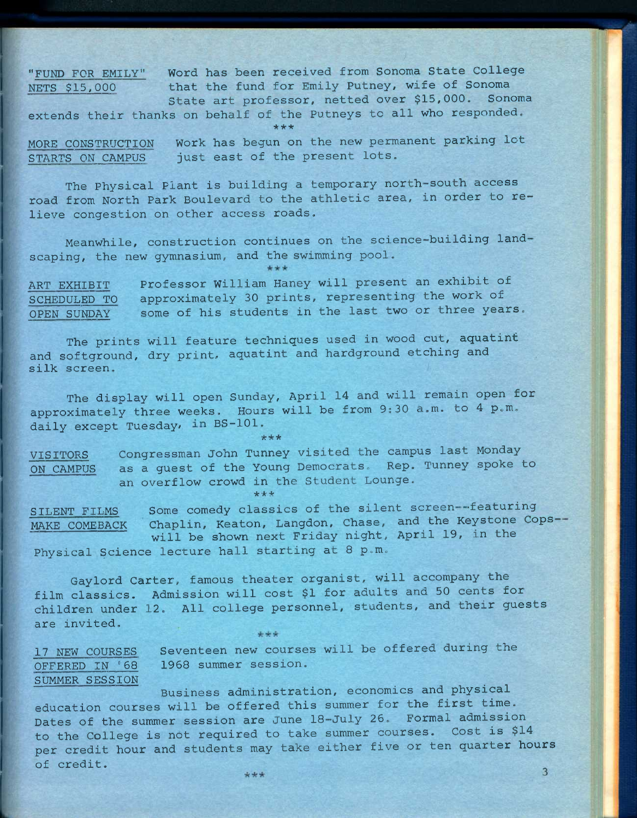**"FUND FOR EMILY" Word has been received from Sonoma State College NETS \$15,000 that the fund for Emily Putney, wife of Sonoma State art professor, netted over \$15,000. Sonoma** 

**extends their thanks on behalf of the Putneys to all who responded. \* \* \*** 

MORE CONSTRUCTION Work has begun on the new permanent parking lot **STARTS ON CAMPUS just east of the present lots.** 

**The Physical Plant is building a temporary north-south access road from North Park Boulevard to the athletic area, in order to relieve congestion on other access roads.** 

**Meanwhile, construction continues on the science-building landscaping, the new gymnasium, and the swimming pool.** 

**ART EXHIBIT Professor William Haney will present an exhibit of SCHEDULED TO approximately 30 prints, representing the work of OPEN SUNDAY some of his students in the last two or three years.** 

**The prints will feature techniques used in wood cut, aquatint and softground, dry print, aquatint and hardground etching and silk screen.** 

**The display will open Sunday, April 14 and will remain open for approximately three weeks. Hours will be from 9:30 a.m. to 4 p.m.**  daily except Tuesday, in BS-101.

*•kie\** 

**\* \* \*** 

**VISITORS Congressman John Tunney visited the campus last Monday ON CAMPUS as a guest of the Young Democrats. Rep. Tunney spoke to an overflow crowd in the Student Lounge-**

**SILENT FILMS Some comedy classics of the silent screen -featuring MAKE COMEBACK Chaplin, Keaton, Langdon, Chase, and the Keystone Copswill be shown next Friday night, April 19, in the Physical Science lecture hall starting at 8 p.m.** 

**Gaylord Carter, famous theater organist, will accompany the film classics. Admission will cost \$1 for adults and 50 cents for children under 12. All college personnel, students, and their guests are invited.**   $+ + +$ 

**17 NEW COURSES Seventeen new courses will be offered during the OFFERED IN '68 1968 summer session. SUMMER SESSION** 

\*\*\*

**Business administration, economics and physical education courses will be offered this summer for the first time. Dates of the summer session are June 18-July 26. Formal admission to the College is not required to take summer courses. Cost is \$14 per credit hour and students may take either five or ten quarter hours of credit.** 

 $\overline{3}$